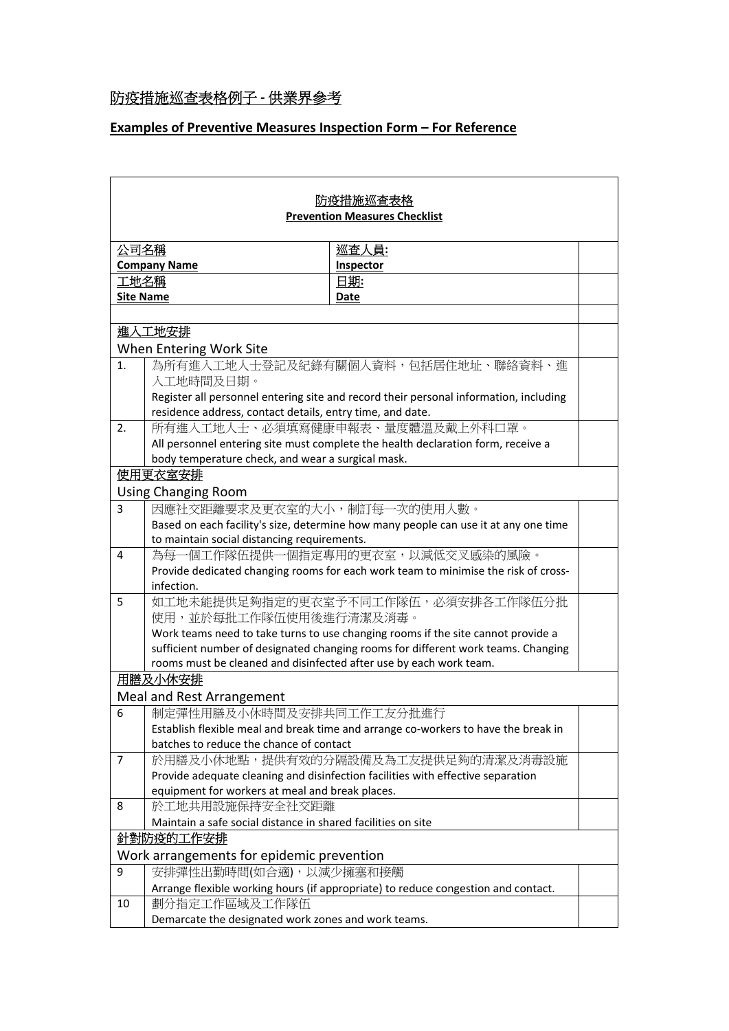## 防疫措施巡查表格例子 **‐** 供業界參考

## **Examples of Preventive Measures Inspection Form – For Reference**

| 防疫措施巡査表格                                                            |                                                                                                  |                                                                                       |  |  |
|---------------------------------------------------------------------|--------------------------------------------------------------------------------------------------|---------------------------------------------------------------------------------------|--|--|
| <b>Prevention Measures Checklist</b>                                |                                                                                                  |                                                                                       |  |  |
|                                                                     |                                                                                                  |                                                                                       |  |  |
| 公司名稱                                                                |                                                                                                  | 巡査人員:                                                                                 |  |  |
| <b>Company Name</b>                                                 |                                                                                                  | <b>Inspector</b><br>日期:                                                               |  |  |
| 工地名稱<br><b>Site Name</b>                                            |                                                                                                  | Date                                                                                  |  |  |
|                                                                     |                                                                                                  |                                                                                       |  |  |
| 進入工地安排                                                              |                                                                                                  |                                                                                       |  |  |
|                                                                     |                                                                                                  |                                                                                       |  |  |
| When Entering Work Site<br>為所有進入工地人士登記及紀錄有關個人資料,包括居住地址、聯絡資料、進<br>1. |                                                                                                  |                                                                                       |  |  |
|                                                                     | 入工地時間及日期。                                                                                        |                                                                                       |  |  |
|                                                                     |                                                                                                  | Register all personnel entering site and record their personal information, including |  |  |
|                                                                     | residence address, contact details, entry time, and date.                                        |                                                                                       |  |  |
| 所有進入工地人士、必須填寫健康申報表、量度體溫及戴上外科口罩。<br>2.                               |                                                                                                  |                                                                                       |  |  |
|                                                                     | All personnel entering site must complete the health declaration form, receive a                 |                                                                                       |  |  |
| body temperature check, and wear a surgical mask.                   |                                                                                                  |                                                                                       |  |  |
|                                                                     | 使用更衣室安排                                                                                          |                                                                                       |  |  |
| <b>Using Changing Room</b>                                          |                                                                                                  |                                                                                       |  |  |
| 3                                                                   | 因應社交距離要求及更衣室的大小,制訂每一次的使用人數。                                                                      |                                                                                       |  |  |
|                                                                     | Based on each facility's size, determine how many people can use it at any one time              |                                                                                       |  |  |
|                                                                     | to maintain social distancing requirements.                                                      |                                                                                       |  |  |
| 4                                                                   | 為每一個工作隊伍提供一個指定專用的更衣室,以減低交叉感染的風險。                                                                 |                                                                                       |  |  |
|                                                                     | Provide dedicated changing rooms for each work team to minimise the risk of cross-<br>infection. |                                                                                       |  |  |
| 5                                                                   | 如工地未能提供足夠指定的更衣室予不同工作隊伍,必須安排各工作隊伍分批                                                               |                                                                                       |  |  |
|                                                                     | 使用,並於每批工作隊伍使用後進行清潔及消毒。                                                                           |                                                                                       |  |  |
|                                                                     | Work teams need to take turns to use changing rooms if the site cannot provide a                 |                                                                                       |  |  |
|                                                                     | sufficient number of designated changing rooms for different work teams. Changing                |                                                                                       |  |  |
| rooms must be cleaned and disinfected after use by each work team.  |                                                                                                  |                                                                                       |  |  |
| 用膳及小休安排                                                             |                                                                                                  |                                                                                       |  |  |
| Meal and Rest Arrangement                                           |                                                                                                  |                                                                                       |  |  |
| 6                                                                   | 制定彈性用膳及小休時間及安排共同工作工友分批進行                                                                         |                                                                                       |  |  |
|                                                                     |                                                                                                  | Establish flexible meal and break time and arrange co-workers to have the break in    |  |  |
|                                                                     | batches to reduce the chance of contact                                                          |                                                                                       |  |  |
| $\overline{7}$                                                      |                                                                                                  | 於用膳及小休地點,提供有效的分隔設備及為工友提供足夠的清潔及消毒設施                                                    |  |  |
|                                                                     | equipment for workers at meal and break places.                                                  | Provide adequate cleaning and disinfection facilities with effective separation       |  |  |
| 8                                                                   | 於工地共用設施保持安全社交距離                                                                                  |                                                                                       |  |  |
|                                                                     | Maintain a safe social distance in shared facilities on site                                     |                                                                                       |  |  |
| 針對防疫的工作安排                                                           |                                                                                                  |                                                                                       |  |  |
| Work arrangements for epidemic prevention                           |                                                                                                  |                                                                                       |  |  |
| 9                                                                   | 安排彈性出勤時間(如合適),以減少擁塞和接觸                                                                           |                                                                                       |  |  |
|                                                                     |                                                                                                  | Arrange flexible working hours (if appropriate) to reduce congestion and contact.     |  |  |
| 10                                                                  | 劃分指定工作區域及工作隊伍                                                                                    |                                                                                       |  |  |
|                                                                     | Demarcate the designated work zones and work teams.                                              |                                                                                       |  |  |